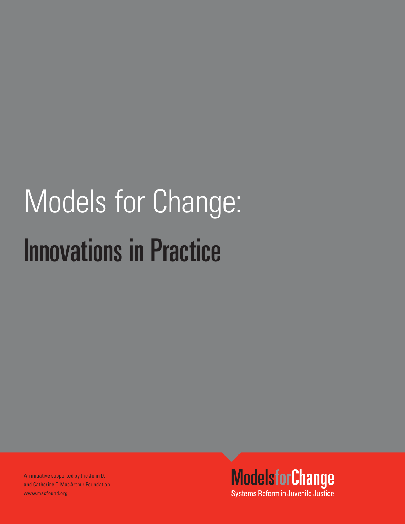# Models for Change: Models for Change: tione in Pra Innovations in Practice

An initiative supported by the John D. and Catherine T. MacArthur Foundation www.macfound.org

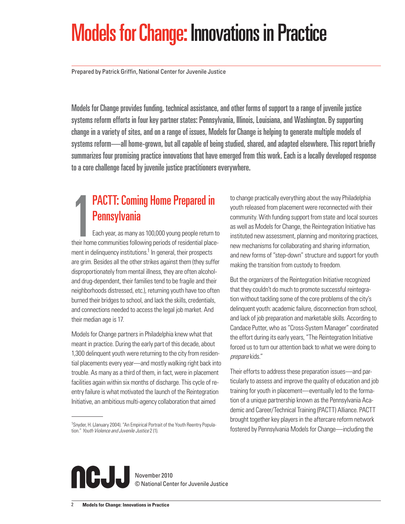# Models for Change: Innovations in Practice

Prepared by Patrick Griffin, National Center for Juvenile Justice

Models for Change provides funding, technical assistance, and other forms of support to a range of juvenile justice systems reform efforts in four key partner states: Pennsylvania, Illinois, Louisiana, and Washington. By supporting change in a variety of sites, and on a range of issues, Models for Change is helping to generate multiple models of systems reform—all home-grown, but all capable of being studied, shared, and adapted elsewhere. This report briefly summarizes four promising practice innovations that have emerged from this work. Each is a locally developed response to a core challenge faced by juvenile justice practitioners everywhere.

## **PACTT: Coming Home Prepared in<br>Pennsylvania**<br>their home communities following periods of residential place-PACTT: Coming Home Prepared in **Pennsylvania**

Each year, as many as 100,000 young people return to ment in delinquency institutions.<sup>1</sup> In general, their prospects are grim. Besides all the other strikes against them (they suffer disproportionately from mental illness, they are often alcoholand drug-dependent, their families tend to be fragile and their neighborhoods distressed, etc.), returning youth have too often burned their bridges to school, and lack the skills, credentials, and connections needed to access the legal job market. And their median age is 17.

Models for Change partners in Philadelphia knew what that meant in practice. During the early part of this decade, about 1,300 delinquent youth were returning to the city from residential placements every year—and mostly walking right back into trouble. As many as a third of them, in fact, were in placement facilities again within six months of discharge. This cycle of reentry failure is what motivated the launch of the Reintegration Initiative, an ambitious multi-agency collaboration that aimed

<sup>1</sup>Snyder, H. (January 2004). "An Empirical Portrait of the Youth Reentry Population." Youth Violence and Juvenile Justice 2 (1).

to change practically everything about the way Philadelphia youth released from placement were reconnected with their community. With funding support from state and local sources as well as Models for Change, the Reintegration Initiative has instituted new assessment, planning and monitoring practices, new mechanisms for collaborating and sharing information, and new forms of "step-down" structure and support for youth making the transition from custody to freedom.

But the organizers of the Reintegration Initiative recognized that they couldn't do much to promote successful reintegration without tackling some of the core problems of the city's delinquent youth: academic failure, disconnection from school, and lack of job preparation and marketable skills. According to Candace Putter, who as "Cross-System Manager" coordinated the effort during its early years, "The Reintegration Initiative forced us to turn our attention back to what we were doing to prepare kids."

Their efforts to address these preparation issues—and particularly to assess and improve the quality of education and job training for youth in placement—eventually led to the formation of a unique partnership known as the Pennsylvania Academic and Career/Technical Training (PACTT) Alliance. PACTT brought together key players in the aftercare reform network fostered by Pennsylvania Models for Change—including the



November 2010 © National Center for Juvenile Justice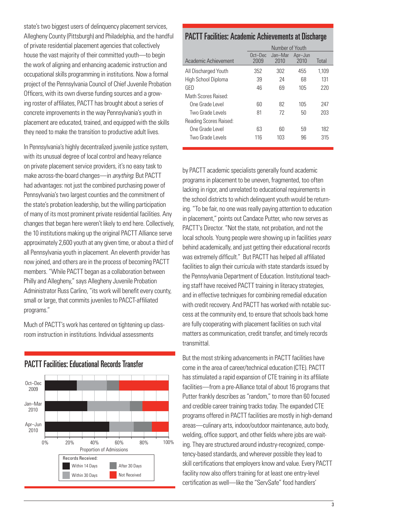state's two biggest users of delinquency placement services, Allegheny County (Pittsburgh) and Philadelphia, and the handful of private residential placement agencies that collectively house the vast majority of their committed youth—to begin the work of aligning and enhancing academic instruction and occupational skills programming in institutions. Now a formal project of the Pennsylvania Council of Chief Juvenile Probation Officers, with its own diverse funding sources and a growing roster of affiliates. PACTT has brought about a series of concrete improvements in the way Pennsylvania's youth in placement are educated, trained, and equipped with the skills they need to make the transition to productive adult lives.

In Pennsylvania's highly decentralized juvenile justice system, with its unusual degree of local control and heavy reliance on private placement service providers, it's no easy task to make across-the-board changes—in anything. But PACTT had advantages: not just the combined purchasing power of Pennsylvania's two largest counties and the commitment of the state's probation leadership, but the willing participation of many of its most prominent private residential facilities. Any changes that began here weren't likely to end here. Collectively, the 10 institutions making up the original PACTT Alliance serve approximately 2,600 youth at any given time, or about a third of all Pennsylvania youth in placement. An eleventh provider has now joined, and others are in the process of becoming PACTT members. "While PACTT began as a collaboration between Philly and Allegheny," says Allegheny Juvenile Probation Administrator Russ Carlino, "its work will benefit every county, small or large, that commits juveniles to PACCT-affiliated programs."

Much of PACTT's work has centered on tightening up classroom instruction in institutions. Individual assessments



### PACTT Facilities: Educational Records Transfer

| <b>PACTT Facilities: Academic Achievements at Discharge</b> |                 |                 |                 |       |  |  |
|-------------------------------------------------------------|-----------------|-----------------|-----------------|-------|--|--|
|                                                             | Number of Youth |                 |                 |       |  |  |
| Academic Achievement                                        | Oct-Dec<br>2009 | Jan-Mar<br>2010 | Apr-Jun<br>2010 | Total |  |  |
| All Discharged Youth                                        | 352             | 302             | 455             | 1.109 |  |  |
| High School Diploma                                         | 39              | 24              | 68              | 131   |  |  |
| GFD                                                         | 46              | 69              | 105             | 220   |  |  |
| Math Scores Raised:                                         |                 |                 |                 |       |  |  |
| One Grade Level                                             | 60              | 82              | 105             | 247   |  |  |
| Two Grade Levels                                            | 81              | 72              | 50              | 203   |  |  |
| Reading Scores Raised:                                      |                 |                 |                 |       |  |  |
| One Grade Level                                             | 63              | 60              | 59              | 182   |  |  |
| Two Grade Levels                                            | 116             | 103             | 96              | 315   |  |  |

by PACTT academic specialists generally found academic programs in placement to be uneven, fragmented, too often lacking in rigor, and unrelated to educational requirements in the school districts to which delinquent youth would be returning. "To be fair, no one was really paying attention to education in placement," points out Candace Putter, who now serves as PACTT's Director. "Not the state, not probation, and not the local schools. Young people were showing up in facilities *vears* behind academically, and just getting their educational records was extremely difficult." But PACTT has helped all affiliated facilities to align their curricula with state standards issued by the Pennsylvania Department of Education. Institutional teaching staff have received PACTT training in literacy strategies, and in effective techniques for combining remedial education with credit recovery. And PACTT has worked with notable success at the community end, to ensure that schools back home are fully cooperating with placement facilities on such vital matters as communication, credit transfer, and timely records transmittal.

But the most striking advancements in PACTT facilities have come in the area of career/technical education (CTE). PACTT has stimulated a rapid expansion of CTE training in its affiliate facilities—from a pre-Alliance total of about 16 programs that Putter frankly describes as "random," to more than 60 focused and credible career training tracks today. The expanded CTE programs offered in PACTT facilities are mostly in high-demand areas—culinary arts, indoor/outdoor maintenance, auto body, welding, office support, and other fields where jobs are waiting. They are structured around industry-recognized, competency-based standards, and wherever possible they lead to skill certifications that employers know and value. Every PACTT facility now also offers training for at least one entry-level certification as well—like the "ServSafe" food handlers'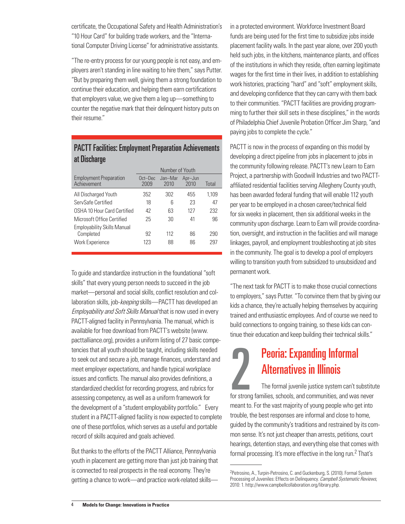certificate, the Occupational Safety and Health Administration's "10 Hour Card" for building trade workers, and the "International Computer Driving License" for administrative assistants.

"The re-entry process for our young people is not easy, and employers aren't standing in line waiting to hire them," says Putter. "But by preparing them well, giving them a strong foundation to continue their education, and helping them earn certifications that employers value, we give them a leg up—something to counter the negative mark that their delinquent history puts on their resume."

### PACTT Facilities: Employment Preparation Achievements at Discharge

|                                                 | Number of Youth |                 |                 |       |  |
|-------------------------------------------------|-----------------|-----------------|-----------------|-------|--|
| <b>Employment Preparation</b><br>Achievement    | Oct-Dec<br>2009 | Jan-Mar<br>2010 | Apr-Jun<br>2010 | Total |  |
| All Discharged Youth                            | 352             | 302             | 455             | 1,109 |  |
| ServSafe Certified                              | 18              | ჩ               | 23              | 47    |  |
| OSHA 10 Hour Card Certified                     | 42              | 63              | 127             | 232   |  |
| Microsoft Office Certified                      | 25              | 30              | 41              | 96    |  |
| <b>Employability Skills Manual</b><br>Completed | 92              | 112             | 86              | 290   |  |
| <b>Work Experience</b>                          | 123             | 88              | 86              | 297   |  |

To guide and standardize instruction in the foundational "soft skills" that every young person needs to succeed in the job market—personal and social skills, conflict resolution and collaboration skills, job-keeping skills—PACTT has developed an Employability and Soft Skills Manual that is now used in every PACTT-aligned facility in Pennsylvania. The manual, which is available for free download from PACTT's website (www. pacttalliance.org), provides a uniform listing of 27 basic competencies that all youth should be taught, including skills needed to seek out and secure a job, manage finances, understand and meet employer expectations, and handle typical workplace issues and conflicts. The manual also provides definitions, a standardized checklist for recording progress, and rubrics for assessing competency, as well as a uniform framework for the development of a "student employability portfolio." Every student in a PACTT-aligned facility is now expected to complete one of these portfolios, which serves as a useful and portable record of skills acquired and goals achieved.

But thanks to the efforts of the PACTT Alliance, Pennsylvania youth in placement are getting more than just job training that is connected to real prospects in the real economy. They're getting a chance to work—and practice work-related skills—

in a protected environment. Workforce Investment Board funds are being used for the first time to subsidize jobs inside placement facility walls. In the past year alone, over 200 youth held such jobs, in the kitchens, maintenance plants, and offices of the institutions in which they reside, often earning legitimate wages for the first time in their lives, in addition to establishing work histories, practicing "hard" and "soft" employment skills, and developing confidence that they can carry with them back to their communities. "PACTT facilities are providing programming to further their skill sets in these disciplines," in the words of Philadelphia Chief Juvenile Probation Officer Jim Sharp, "and paying jobs to complete the cycle."

PACTT is now in the process of expanding on this model by developing a direct pipeline from jobs in placement to jobs in the community following release. PACTT's new Learn to Earn Project, a partnership with Goodwill Industries and two PACTTaffiliated residential facilities serving Allegheny County youth, has been awarded federal funding that will enable 112 youth per year to be employed in a chosen career/technical field for six weeks in placement, then six additional weeks in the community upon discharge. Learn to Earn will provide coordination, oversight, and instruction in the facilities and will manage linkages, payroll, and employment troubleshooting at job sites in the community. The goal is to develop a pool of employers willing to transition youth from subsidized to unsubsidized and permanent work.

"The next task for PACTT is to make those crucial connections to employers," says Putter. "To convince them that by giving our kids a chance, they're actually helping themselves by acquiring trained and enthusiastic employees. And of course we need to build connections to ongoing training, so these kids can continue their education and keep building their technical skills."

## **Peoria: Expanding Informal<br>Alternatives in Illinois**<br>The formal juvenile justice system can't substitute<br>for strong families, schools, and communities, and was never Peoria: Expanding Informal Alternatives in Illinois

The formal juvenile justice system can't substitute meant to. For the vast majority of young people who get into trouble, the best responses are informal and close to home, guided by the community's traditions and restrained by its common sense. It's not just cheaper than arrests, petitions, court hearings, detention stays, and everything else that comes with formal processing. It's more effective in the long run.<sup>2</sup> That's

<sup>2</sup>Petrosino, A., Turpin-Petrosino, C. and Guckenburg, S. (2010). Formal System Processing of Juveniles: Effects on Delinquency. Campbell Systematic Reviews, 2010: 1. http://www.campbellcollaboration.org/library.php.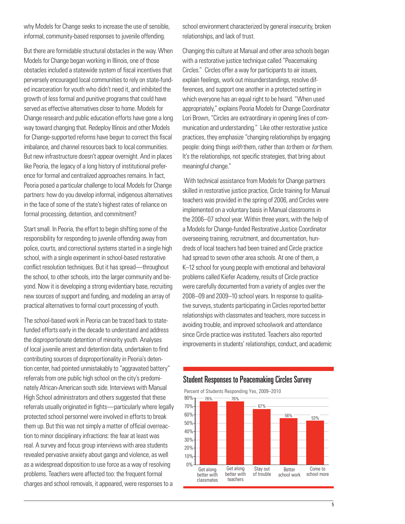why Models for Change seeks to increase the use of sensible, informal, community-based responses to juvenile offending.

But there are formidable structural obstacles in the way. When Models for Change began working in Illinois, one of those obstacles included a statewide system of fiscal incentives that perversely encouraged local communities to rely on state-funded incarceration for youth who didn't need it, and inhibited the growth of less formal and punitive programs that could have served as effective alternatives closer to home. Models for Change research and public education efforts have gone a long way toward changing that. Redeploy Illinois and other Models for Change-supported reforms have begun to correct this fiscal imbalance, and channel resources back to local communities. But new infrastructure doesn't appear overnight. And in places like Peoria, the legacy of a long history of institutional preference for formal and centralized approaches remains. In fact, Peoria posed a particular challenge to local Models for Change partners: how do you develop informal, indigenous alternatives in the face of some of the state's highest rates of reliance on formal processing, detention, and commitment?

Start small. In Peoria, the effort to begin shifting some of the responsibility for responding to juvenile offending away from police, courts, and correctional systems started in a single high school, with a single experiment in school-based restorative conflict resolution techniques. But it has spread—throughout the school, to other schools, into the larger community and beyond. Now it is developing a strong evidentiary base, recruiting new sources of support and funding, and modeling an array of practical alternatives to formal court processing of youth.

The school-based work in Peoria can be traced back to statefunded efforts early in the decade to understand and address the disproportionate detention of minority youth. Analyses of local juvenile arrest and detention data, undertaken to find contributing sources of disproportionality in Peoria's detention center, had pointed unmistakably to "aggravated battery" referrals from one public high school on the city's predominately African-American south side. Interviews with Manual High School administrators and others suggested that these referrals usually originated in fights—particularly where legally protected school personnel were involved in efforts to break them up. But this was not simply a matter of official overreaction to minor disciplinary infractions: the fear at least was real. A survey and focus group interviews with area students revealed pervasive anxiety about gangs and violence, as well as a widespread disposition to use force as a way of resolving problems. Teachers were affected too: the frequent formal charges and school removals, it appeared, were responses to a

school environment characterized by general insecurity, broken relationships, and lack of trust.

Changing this culture at Manual and other area schools began with a restorative justice technique called "Peacemaking Circles." Circles offer a way for participants to air issues, explain feelings, work out misunderstandings, resolve differences, and support one another in a protected setting in which everyone has an equal right to be heard. "When used appropriately," explains Peoria Models for Change Coordinator Lori Brown, "Circles are extraordinary in opening lines of communication and understanding." Like other restorative justice practices, they emphasize "changing relationships by engaging people: doing things *with* them, rather than *to* them or *for* them. It's the relationships, not specific strategies, that bring about meaningful change."

 With technical assistance from Models for Change partners skilled in restorative justice practice, Circle training for Manual teachers was provided in the spring of 2006, and Circles were implemented on a voluntary basis in Manual classrooms in the 2006–07 school year. Within three years, with the help of a Models for Change-funded Restorative Justice Coordinator overseeing training, recruitment, and documentation, hundreds of local teachers had been trained and Circle practice had spread to seven other area schools. At one of them, a K–12 school for young people with emotional and behavioral problems called Kiefer Academy, results of Circle practice were carefully documented from a variety of angles over the 2008–09 and 2009–10 school years. In response to qualitative surveys, students participating in Circles reported better relationships with classmates and teachers, more success in avoiding trouble, and improved schoolwork and attendance since Circle practice was instituted. Teachers also reported improvements in students' relationships, conduct, and academic

### Student Responses to Peacemaking Circles Survey

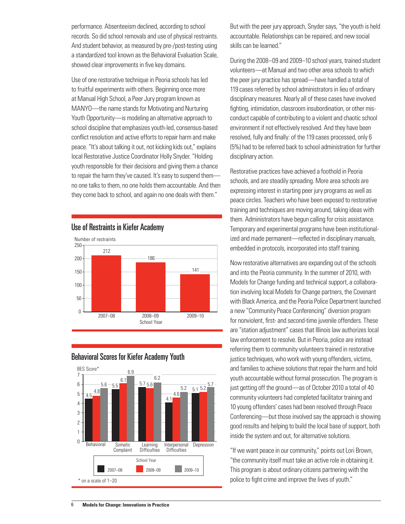performance. Absenteeism declined, according to school records. So did school removals and use of physical restraints. And student behavior, as measured by pre-/post-testing using a standardized tool known as the Behavioral Evaluation Scale, showed clear improvements in five key domains.

Use of one restorative technique in Peoria schools has led to fruitful experiments with others. Beginning once more at Manual High School, a Peer Jury program known as MANYO—the name stands for Motivating and Nurturing Youth Opportunity—is modeling an alternative approach to school discipline that emphasizes youth-led, consensus-based conflict resolution and active efforts to repair harm and make peace. "It's about talking it out, not kicking kids out," explains local Restorative Justice Coordinator Holly Snyder. "Holding youth responsible for their decisions and giving them a chance to repair the harm they've caused. It's easy to suspend them no one talks to them, no one holds them accountable. And then they come back to school, and again no one deals with them."







But with the peer jury approach, Snyder says, "the youth is held accountable. Relationships can be repaired, and new social skills can be learned."

During the 2008–09 and 2009–10 school years, trained student volunteers—at Manual and two other area schools to which the peer jury practice has spread—have handled a total of 119 cases referred by school administrators in lieu of ordinary disciplinary measures. Nearly all of these cases have involved fighting, intimidation, classroom insubordination, or other misconduct capable of contributing to a violent and chaotic school environment if not effectively resolved. And they have been resolved, fully and finally: of the 119 cases processed, only 6 (5%) had to be referred back to school administration for further disciplinary action.

Restorative practices have achieved a foothold in Peoria schools, and are steadily spreading. More area schools are expressing interest in starting peer jury programs as well as peace circles. Teachers who have been exposed to restorative training and techniques are moving around, taking ideas with them. Administrators have begun calling for crisis assistance. Temporary and experimental programs have been institutionalized and made permanent—reflected in disciplinary manuals, embedded in protocols, incorporated into staff training.

Now restorative alternatives are expanding out of the schools and into the Peoria community. In the summer of 2010, with Models for Change funding and technical support, a collaboration involving local Models for Change partners, the Covenant with Black America, and the Peoria Police Department launched a new "Community Peace Conferencing" diversion program for nonviolent, first- and second-time juvenile offenders. These are "station adjustment" cases that Illinois law authorizes local law enforcement to resolve. But in Peoria, police are instead referring them to community volunteers trained in restorative justice techniques, who work with young offenders, victims, and families to achieve solutions that repair the harm and hold youth accountable without formal prosecution. The program is just getting off the ground—as of October 2010 a total of 40 community volunteers had completed facilitator training and 10 young offenders' cases had been resolved through Peace Conferencing—but those involved say the approach is showing good results and helping to build the local base of support, both inside the system and out, for alternative solutions.

"If we want peace in our community," points out Lori Brown, "the community itself must take an active role in obtaining it. This program is about ordinary citizens partnering with the police to fight crime and improve the lives of youth."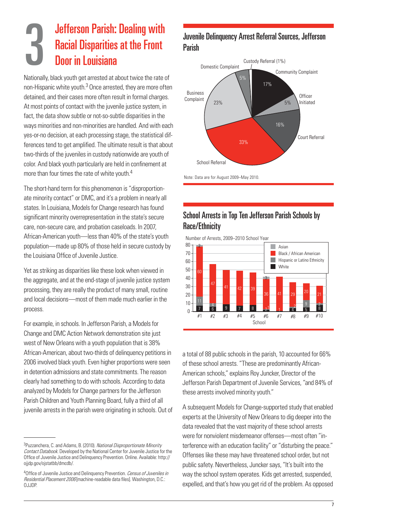### 3 Jefferson Parish: Dealing with Racial Disparities at the Front Door in Louisiana

Nationally, black youth get arrested at about twice the rate of non-Hispanic white youth.<sup>3</sup> Once arrested, they are more often detained, and their cases more often result in formal charges. At most points of contact with the juvenile justice system, in fact, the data show subtle or not-so-subtle disparities in the ways minorities and non-minorities are handled. And with each yes-or-no decision, at each processing stage, the statistical differences tend to get amplified. The ultimate result is that about two-thirds of the juveniles in custody nationwide are youth of color. And black youth particularly are held in confinement at more than four times the rate of white youth.<sup>4</sup>

The short-hand term for this phenomenon is "disproportionate minority contact" or DMC, and it's a problem in nearly all states. In Louisiana, Models for Change research has found significant minority overrepresentation in the state's secure care, non-secure care, and probation caseloads. In 2007, African-American youth—less than 40% of the state's youth population—made up 80% of those held in secure custody by the Louisiana Office of Juvenile Justice.

Yet as striking as disparities like these look when viewed in the aggregate, and at the end-stage of juvenile justice system processing, they are really the product of many small, routine and local decisions—most of them made much earlier in the process.

For example, in schools. In Jefferson Parish, a Models for Change and DMC Action Network demonstration site just west of New Orleans with a youth population that is 38% African-American, about two-thirds of delinquency petitions in 2006 involved black youth. Even higher proportions were seen in detention admissions and state commitments. The reason clearly had something to do with schools. According to data analyzed by Models for Change partners for the Jefferson Parish Children and Youth Planning Board, fully a third of all juvenile arrests in the parish were originating in schools. Out of

### Juvenile Delinquency Arrest Referral Sources, Jefferson Parish



School Arrests in Top Ten Jefferson Parish Schools by Race/Ethnicity

Number of Arrests, 2009–2010 School Year



a total of 88 public schools in the parish, 10 accounted for 66% of these school arrests. "These are predominantly African-American schools," explains Roy Juncker, Director of the Jefferson Parish Department of Juvenile Services, "and 84% of these arrests involved minority youth."

A subsequent Models for Change-supported study that enabled experts at the University of New Orleans to dig deeper into the data revealed that the vast majority of these school arrests were for nonviolent misdemeanor offenses—most often "interference with an education facility" or "disturbing the peace." Offenses like these may have threatened school order, but not public safety. Nevertheless, Juncker says, "It's built into the way the school system operates. Kids get arrested, suspended, expelled, and that's how you get rid of the problem. As opposed

<sup>&</sup>lt;sup>3</sup>Puzzanchera, C. and Adams, B. (2010). National Disproportionate Minority Contact Databook. Developed by the National Center for Juvenile Justice for the Office of Juvenile Justice and Delinquency Prevention. Online. Available: http:// ojjdp.gov/ojstatbb/dmcdb/.

<sup>&</sup>lt;sup>4</sup>Office of Juvenile Justice and Delinquency Prevention. Census of Juveniles in Residential Placement 2006 [machine-readable data files]. Washington, D.C.: OJJDP.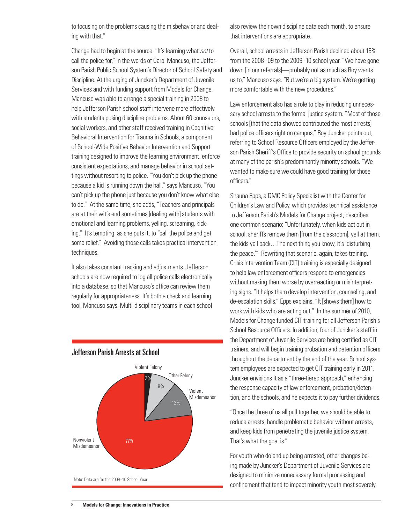to focusing on the problems causing the misbehavior and dealing with that."

Change had to begin at the source. "It's learning what not to call the police for," in the words of Carol Mancuso, the Jefferson Parish Public School System's Director of School Safety and Discipline. At the urging of Juncker's Department of Juvenile Services and with funding support from Models for Change, Mancuso was able to arrange a special training in 2008 to help Jefferson Parish school staff intervene more effectively with students posing discipline problems. About 60 counselors, social workers, and other staff received training in Cognitive Behavioral Intervention for Trauma in Schools, a component of School-Wide Positive Behavior Intervention and Support training designed to improve the learning environment, enforce consistent expectations, and manage behavior in school settings without resorting to police. "You don't pick up the phone because a kid is running down the hall," says Mancuso. "You can't pick up the phone just because you don't know what else to do." At the same time, she adds, "Teachers and principals are at their wit's end sometimes [dealing with] students with emotional and learning problems, yelling, screaming, kicking." It's tempting, as she puts it, to "call the police and get some relief." Avoiding those calls takes practical intervention techniques.

It also takes constant tracking and adjustments. Jefferson schools are now required to log all police calls electronically into a database, so that Mancuso's office can review them regularly for appropriateness. It's both a check and learning tool, Mancuso says. Multi-disciplinary teams in each school



### Jefferson Parish Arrests at School

also review their own discipline data each month, to ensure that interventions are appropriate.

Overall, school arrests in Jefferson Parish declined about 16% from the 2008–09 to the 2009–10 school year. "We have gone down [in our referrals]—probably not as much as Roy wants us to," Mancuso says. "But we're a big system. We're getting more comfortable with the new procedures."

Law enforcement also has a role to play in reducing unnecessary school arrests to the formal justice system. "Most of those schools [that the data showed contributed the most arrests] had police officers right on campus," Roy Juncker points out, referring to School Resource Officers employed by the Jefferson Parish Sheriff's Office to provide security on school grounds at many of the parish's predominantly minority schools. "We wanted to make sure we could have good training for those officers"

Shauna Epps, a DMC Policy Specialist with the Center for Children's Law and Policy, which provides technical assistance to Jefferson Parish's Models for Change project, describes one common scenario: "Unfortunately, when kids act out in school, sheriffs remove them [from the classroom], yell at them, the kids yell back…The next thing you know, it's 'disturbing the peace.'" Rewriting that scenario, again, takes training. Crisis Intervention Team (CIT) training is especially designed to help law enforcement officers respond to emergencies without making them worse by overreacting or misinterpreting signs. "It helps them develop intervention, counseling, and de-escalation skills," Epps explains. "It [shows them] how to work with kids who are acting out." In the summer of 2010, Models for Change funded CIT training for all Jefferson Parish's School Resource Officers. In addition, four of Juncker's staff in the Department of Juvenile Services are being certified as CIT trainers, and will begin training probation and detention officers throughout the department by the end of the year. School system employees are expected to get CIT training early in 2011. Juncker envisions it as a "three-tiered approach," enhancing the response capacity of law enforcement, probation/detention, and the schools, and he expects it to pay further dividends.

"Once the three of us all pull together, we should be able to reduce arrests, handle problematic behavior without arrests, and keep kids from penetrating the juvenile justice system. That's what the goal is."

For youth who do end up being arrested, other changes being made by Juncker's Department of Juvenile Services are designed to minimize unnecessary formal processing and confinement that tend to impact minority youth most severely.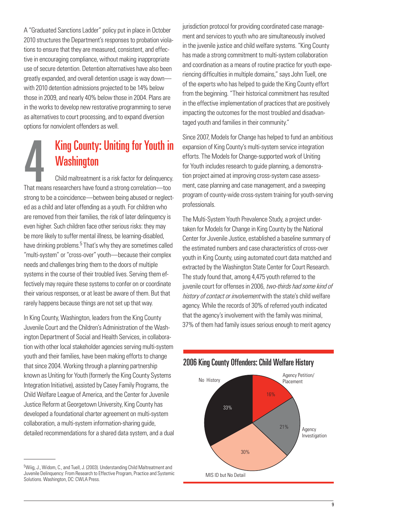A "Graduated Sanctions Ladder" policy put in place in October 2010 structures the Department's responses to probation violations to ensure that they are measured, consistent, and effective in encouraging compliance, without making inappropriate use of secure detention. Detention alternatives have also been greatly expanded, and overall detention usage is way down with 2010 detention admissions projected to be 14% below those in 2009, and nearly 40% below those in 2004. Plans are in the works to develop new restorative programming to serve as alternatives to court processing, and to expand diversion options for nonviolent offenders as well.

## King County: Uniting for Youth in<br>Washington<br>That means researchers have found a strong correlation—too King County: Uniting for Youth in **Washington**

Child maltreatment is a risk factor for delinquency. strong to be a coincidence—between being abused or neglected as a child and later offending as a youth. For children who are removed from their families, the risk of later delinquency is even higher. Such children face other serious risks: they may be more likely to suffer mental illness, be learning-disabled, have drinking problems.<sup>5</sup> That's why they are sometimes called "multi-system" or "cross-over" youth—because their complex needs and challenges bring them to the doors of multiple systems in the course of their troubled lives. Serving them effectively may require these systems to confer on or coordinate their various responses, or at least be aware of them. But that rarely happens because things are not set up that way.

In King County, Washington, leaders from the King County Juvenile Court and the Children's Administration of the Washington Department of Social and Health Services, in collaboration with other local stakeholder agencies serving multi-system youth and their families, have been making efforts to change that since 2004. Working through a planning partnership known as Uniting for Youth (formerly the King County Systems Integration Initiative), assisted by Casey Family Programs, the Child Welfare League of America, and the Center for Juvenile Justice Reform at Georgetown University, King County has developed a foundational charter agreement on multi-system collaboration, a multi-system information-sharing guide, detailed recommendations for a shared data system, and a dual jurisdiction protocol for providing coordinated case management and services to youth who are simultaneously involved in the juvenile justice and child welfare systems. "King County has made a strong commitment to multi-system collaboration and coordination as a means of routine practice for youth experiencing difficulties in multiple domains," says John Tuell, one of the experts who has helped to guide the King County effort from the beginning. "Their historical commitment has resulted in the effective implementation of practices that are positively impacting the outcomes for the most troubled and disadvantaged youth and families in their community."

Since 2007, Models for Change has helped to fund an ambitious expansion of King County's multi-system service integration efforts. The Models for Change-supported work of Uniting for Youth includes research to guide planning, a demonstration project aimed at improving cross-system case assessment, case planning and case management, and a sweeping program of county-wide cross-system training for youth-serving professionals.

The Multi-System Youth Prevalence Study, a project undertaken for Models for Change in King County by the National Center for Juvenile Justice, established a baseline summary of the estimated numbers and case characteristics of cross-over youth in King County, using automated court data matched and extracted by the Washington State Center for Court Research. The study found that, among 4,475 youth referred to the juvenile court for offenses in 2006, two-thirds had some kind of history of contact or involvement with the state's child welfare agency. While the records of 30% of referred youth indicated that the agency's involvement with the family was minimal, 37% of them had family issues serious enough to merit agency





<sup>&</sup>lt;sup>5</sup>Wiig, J., Widom, C., and Tuell, J. (2003). Understanding Child Maltreatment and Juvenile Delinquency: From Research to Effective Program, Practice and Systemic Solutions. Washington, DC: CWLA Press.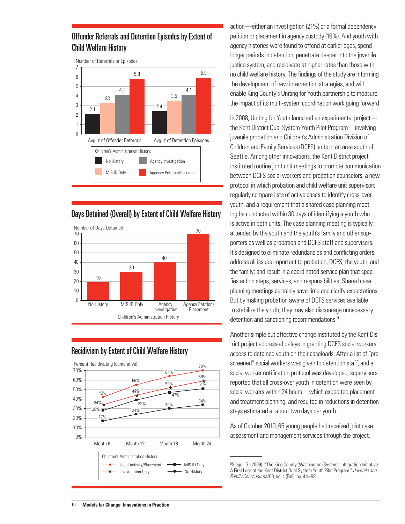### Offender Referrals and Detention Episodes by Extent of Child Welfare History



### Days Detained (Overall) by Extent of Child Welfare History





### Recidivism by Extent of Child Welfare History

action—either an investigation (21%) or a formal dependency petition or placement in agency custody (16%). And youth with agency histories were found to offend at earlier ages, spend longer periods in detention, penetrate deeper into the juvenile justice system, and recidivate at higher rates than those with no child welfare history. The findings of the study are informing the development of new intervention strategies, and will enable King County's Uniting for Youth partnership to measure the impact of its multi-system coordination work going forward.

In 2008, Uniting for Youth launched an experimental project the Kent District Dual System Youth Pilot Program—involving juvenile probation and Children's Administration Division of Children and Family Services (DCFS) units in an area south of Seattle. Among other innovations, the Kent District project instituted routine joint unit meetings to promote communication between DCFS social workers and probation counselors, a new protocol in which probation and child welfare unit supervisors regularly compare lists of active cases to identify cross-over youth, and a requirement that a shared case planning meeting be conducted within 30 days of identifying a youth who is active in both units. The case planning meeting is typically attended by the youth and the youth's family and other supporters as well as probation and DCFS staff and supervisors. It's designed to eliminate redundancies and conflicting orders; address all issues important to probation, DCFS, the youth, and the family; and result in a coordinated service plan that specifies action steps, services, and responsibilities. Shared case planning meetings certainly save time and clarify expectations. But by making probation aware of DCFS services available to stabilize the youth, they may also discourage unnecessary detention and sanctioning recommendations.<sup>6</sup>

Another simple but effective change instituted by the Kent District project addressed delays in granting DCFS social workers access to detained youth on their caseloads. After a list of "prescreened" social workers was given to detention staff, and a social worker notification protocol was developed, supervisors reported that all cross-over youth in detention were seen by social workers within 24 hours—which expedited placement and treatment planning, and resulted in reductions in detention stays estimated at about two days per youth.

As of October 2010, 65 young people had received joint case assessment and management services through the project.

<sup>&</sup>lt;sup>6</sup>Siegel, G. (2009). "The King County (Washington) Systems Integration Initiative: A First Look at the Kent District Dual System Youth Pilot Program." Juvenile and Family Court Journal 60, no. 4 (Fall), pp. 44–59.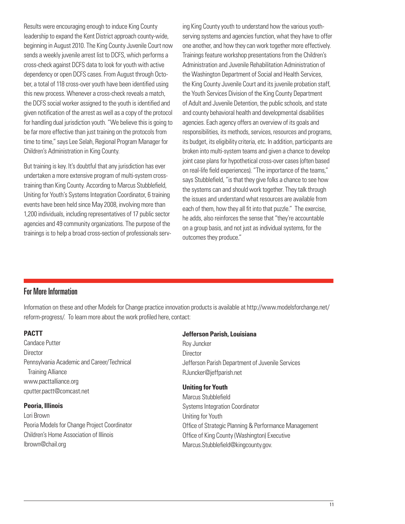Results were encouraging enough to induce King County leadership to expand the Kent District approach county-wide, beginning in August 2010. The King County Juvenile Court now sends a weekly juvenile arrest list to DCFS, which performs a cross-check against DCFS data to look for youth with active dependency or open DCFS cases. From August through October, a total of 118 cross-over youth have been identified using this new process. Whenever a cross-check reveals a match, the DCFS social worker assigned to the youth is identified and given notification of the arrest as well as a copy of the protocol for handling dual jurisdiction youth. "We believe this is going to be far more effective than just training on the protocols from time to time," says Lee Selah, Regional Program Manager for Children's Administration in King County.

But training is key. It's doubtful that any jurisdiction has ever undertaken a more extensive program of multi-system crosstraining than King County. According to Marcus Stubblefield, Uniting for Youth's Systems Integration Coordinator, 6 training events have been held since May 2008, involving more than 1,200 individuals, including representatives of 17 public sector agencies and 49 community organizations. The purpose of the trainings is to help a broad cross-section of professionals serv-

ing King County youth to understand how the various youthserving systems and agencies function, what they have to offer one another, and how they can work together more effectively. Trainings feature workshop presentations from the Children's Administration and Juvenile Rehabilitation Administration of the Washington Department of Social and Health Services, the King County Juvenile Court and its juvenile probation staff, the Youth Services Division of the King County Department of Adult and Juvenile Detention, the public schools, and state and county behavioral health and developmental disabilities agencies. Each agency offers an overview of its goals and responsibilities, its methods, services, resources and programs, its budget, its eligibility criteria, etc. In addition, participants are broken into multi-system teams and given a chance to develop joint case plans for hypothetical cross-over cases (often based on real-life field experiences). "The importance of the teams," says Stubblefield, "is that they give folks a chance to see how the systems can and should work together. They talk through the issues and understand what resources are available from each of them, how they all fit into that puzzle." The exercise, he adds, also reinforces the sense that "they're accountable on a group basis, and not just as individual systems, for the outcomes they produce."

### For More Information

Information on these and other Models for Change practice innovation products is available at http://www.modelsforchange.net/ reform-progress/. To learn more about the work profiled here, contact:

### **PACTT**

Candace Putter **Director** Pennsylvania Academic and Career/Technical Training Alliance www.pacttalliance.org cputter.pactt@comcast.net

### **Peoria, Illinois**

Lori Brown Peoria Models for Change Project Coordinator Children's Home Association of Illinois lbrown@chail.org

#### **Jefferson Parish, Louisiana**

Roy Juncker **Director** Jefferson Parish Department of Juvenile Services RJuncker@jeffparish.net

### **Uniting for Youth**

Marcus Stubblefield Systems Integration Coordinator Uniting for Youth Office of Strategic Planning & Performance Management Office of King County (Washington) Executive Marcus.Stubblefield@kingcounty.gov.